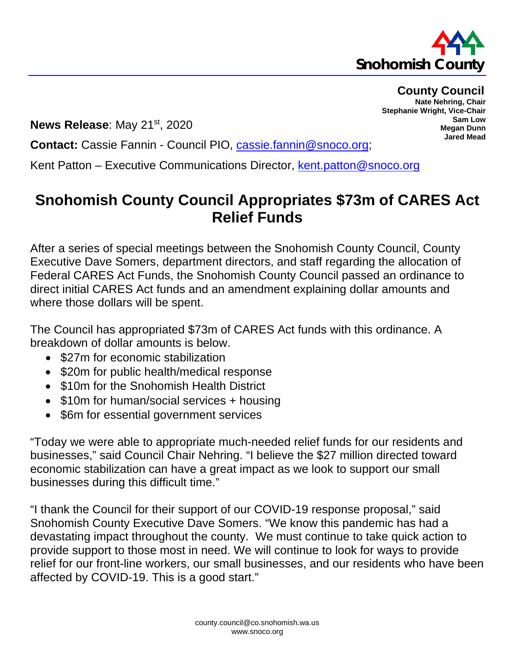

## **County Council Nate Nehring, Chair**

**Sam Low Megan Dunn Jared Mead**

**Stephanie Wright, Vice-Chair**

**News Release**: May 21st, 2020

**Contact:** Cassie Fannin - Council PIO, [cassie.fannin@snoco.org;](mailto:cassie.fannin@snoco.org)

Kent Patton – Executive Communications Director, [kent.patton@snoco.org](mailto:kent.patton@snoco.org)

## **Snohomish County Council Appropriates \$73m of CARES Act Relief Funds**

After a series of special meetings between the Snohomish County Council, County Executive Dave Somers, department directors, and staff regarding the allocation of Federal CARES Act Funds, the Snohomish County Council passed an ordinance to direct initial CARES Act funds and an amendment explaining dollar amounts and where those dollars will be spent.

The Council has appropriated \$73m of CARES Act funds with this ordinance. A breakdown of dollar amounts is below.

- \$27m for economic stabilization
- \$20m for public health/medical response
- \$10m for the Snohomish Health District
- \$10m for human/social services + housing
- \$6m for essential government services

"Today we were able to appropriate much-needed relief funds for our residents and businesses," said Council Chair Nehring. "I believe the \$27 million directed toward economic stabilization can have a great impact as we look to support our small businesses during this difficult time."

"I thank the Council for their support of our COVID-19 response proposal," said Snohomish County Executive Dave Somers. "We know this pandemic has had a devastating impact throughout the county. We must continue to take quick action to provide support to those most in need. We will continue to look for ways to provide relief for our front-line workers, our small businesses, and our residents who have been affected by COVID-19. This is a good start."